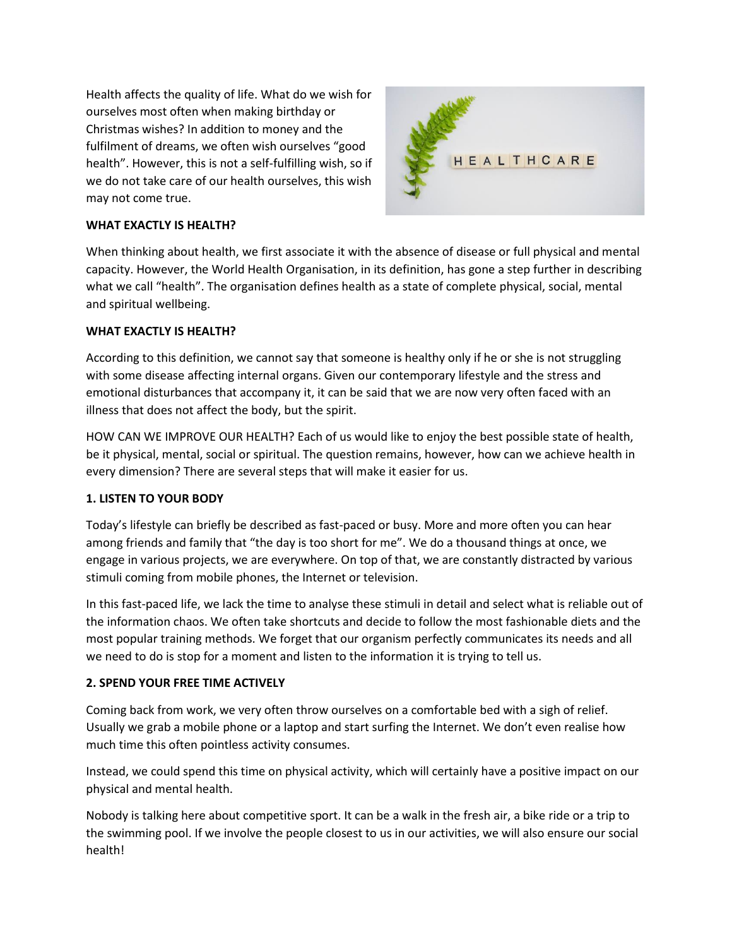Health affects the quality of life. What do we wish for ourselves most often when making birthday or Christmas wishes? In addition to money and the fulfilment of dreams, we often wish ourselves "good health". However, this is not a self-fulfilling wish, so if we do not take care of our health ourselves, this wish may not come true.



# **WHAT EXACTLY IS HEALTH?**

When thinking about health, we first associate it with the absence of disease or full physical and mental capacity. However, the World Health Organisation, in its definition, has gone a step further in describing what we call "health". The organisation defines health as a state of complete physical, social, mental and spiritual wellbeing.

## **WHAT EXACTLY IS HEALTH?**

According to this definition, we cannot say that someone is healthy only if he or she is not struggling with some disease affecting internal organs. Given our contemporary lifestyle and the stress and emotional disturbances that accompany it, it can be said that we are now very often faced with an illness that does not affect the body, but the spirit.

HOW CAN WE IMPROVE OUR HEALTH? Each of us would like to enjoy the best possible state of health, be it physical, mental, social or spiritual. The question remains, however, how can we achieve health in every dimension? There are several steps that will make it easier for us.

## **1. LISTEN TO YOUR BODY**

Today's lifestyle can briefly be described as fast-paced or busy. More and more often you can hear among friends and family that "the day is too short for me". We do a thousand things at once, we engage in various projects, we are everywhere. On top of that, we are constantly distracted by various stimuli coming from mobile phones, the Internet or television.

In this fast-paced life, we lack the time to analyse these stimuli in detail and select what is reliable out of the information chaos. We often take shortcuts and decide to follow the most fashionable diets and the most popular training methods. We forget that our organism perfectly communicates its needs and all we need to do is stop for a moment and listen to the information it is trying to tell us.

## **2. SPEND YOUR FREE TIME ACTIVELY**

Coming back from work, we very often throw ourselves on a comfortable bed with a sigh of relief. Usually we grab a mobile phone or a laptop and start surfing the Internet. We don't even realise how much time this often pointless activity consumes.

Instead, we could spend this time on physical activity, which will certainly have a positive impact on our physical and mental health.

Nobody is talking here about competitive sport. It can be a walk in the fresh air, a bike ride or a trip to the swimming pool. If we involve the people closest to us in our activities, we will also ensure our social health!